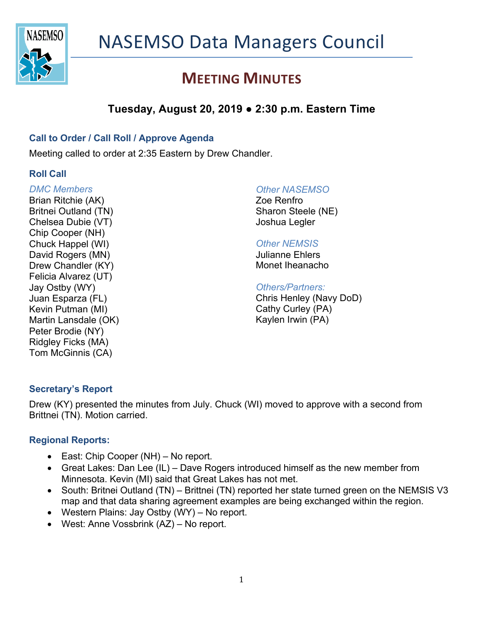

# **MEETING MINUTES**

## **Tuesday, August 20, 2019 ● 2:30 p.m. Eastern Time**

#### **Call to Order / Call Roll / Approve Agenda**

Meeting called to order at 2:35 Eastern by Drew Chandler.

#### **Roll Call**

*DMC Members* Brian Ritchie (AK) Britnei Outland (TN) Chelsea Dubie (VT) Chip Cooper (NH) Chuck Happel (WI) David Rogers (MN) Drew Chandler (KY) Felicia Alvarez (UT) Jay Ostby (WY) Juan Esparza (FL) Kevin Putman (MI) Martin Lansdale (OK) Peter Brodie (NY) Ridgley Ficks (MA) Tom McGinnis (CA)

#### *Other NASEMSO*

Zoe Renfro Sharon Steele (NE) Joshua Legler

#### *Other NEMSIS*

Julianne Ehlers Monet Iheanacho

#### *Others/Partners:*

Chris Henley (Navy DoD) Cathy Curley (PA) Kaylen Irwin (PA)

#### **Secretary's Report**

Drew (KY) presented the minutes from July. Chuck (WI) moved to approve with a second from Brittnei (TN). Motion carried.

#### **Regional Reports:**

- East: Chip Cooper (NH) No report.
- Great Lakes: Dan Lee (IL) Dave Rogers introduced himself as the new member from Minnesota. Kevin (MI) said that Great Lakes has not met.
- South: Britnei Outland (TN) Brittnei (TN) reported her state turned green on the NEMSIS V3 map and that data sharing agreement examples are being exchanged within the region.
- Western Plains: Jay Ostby (WY) No report.
- West: Anne Vossbrink (AZ) No report.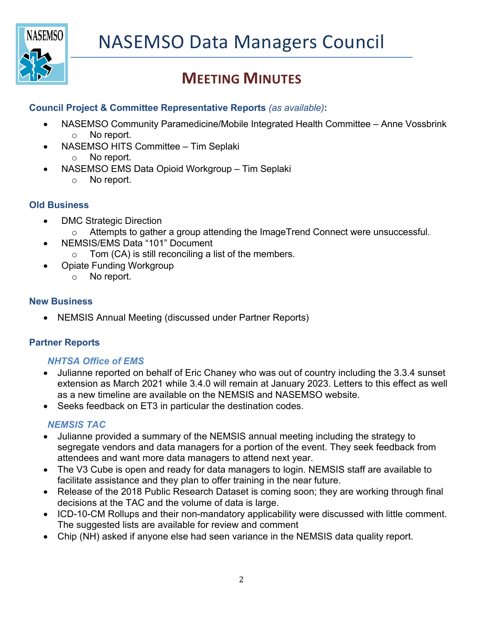

# **MEETING MINUTES**

### **Council Project & Committee Representative Reports** *(as available)***:**

- NASEMSO Community Paramedicine/Mobile Integrated Health Committee Anne Vossbrink o No report.
- NASEMSO HITS Committee Tim Seplaki
	- o No report.
- NASEMSO EMS Data Opioid Workgroup Tim Seplaki
	- o No report.

## **Old Business**

- DMC Strategic Direction
	- o Attempts to gather a group attending the ImageTrend Connect were unsuccessful.
	- NEMSIS/EMS Data "101" Document
		- $\circ$  Tom (CA) is still reconciling a list of the members.
- Opiate Funding Workgroup
	- o No report.

#### **New Business**

• NEMSIS Annual Meeting (discussed under Partner Reports)

## **Partner Reports**

#### *NHTSA Office of EMS*

- Julianne reported on behalf of Eric Chaney who was out of country including the 3.3.4 sunset extension as March 2021 while 3.4.0 will remain at January 2023. Letters to this effect as well as a new timeline are available on the NEMSIS and NASEMSO website.
- Seeks feedback on ET3 in particular the destination codes.

## *NEMSIS TAC*

- Julianne provided a summary of the NEMSIS annual meeting including the strategy to segregate vendors and data managers for a portion of the event. They seek feedback from attendees and want more data managers to attend next year.
- The V3 Cube is open and ready for data managers to login. NEMSIS staff are available to facilitate assistance and they plan to offer training in the near future.
- Release of the 2018 Public Research Dataset is coming soon; they are working through final decisions at the TAC and the volume of data is large.
- ICD-10-CM Rollups and their non-mandatory applicability were discussed with little comment. The suggested lists are available for review and comment
- Chip (NH) asked if anyone else had seen variance in the NEMSIS data quality report.